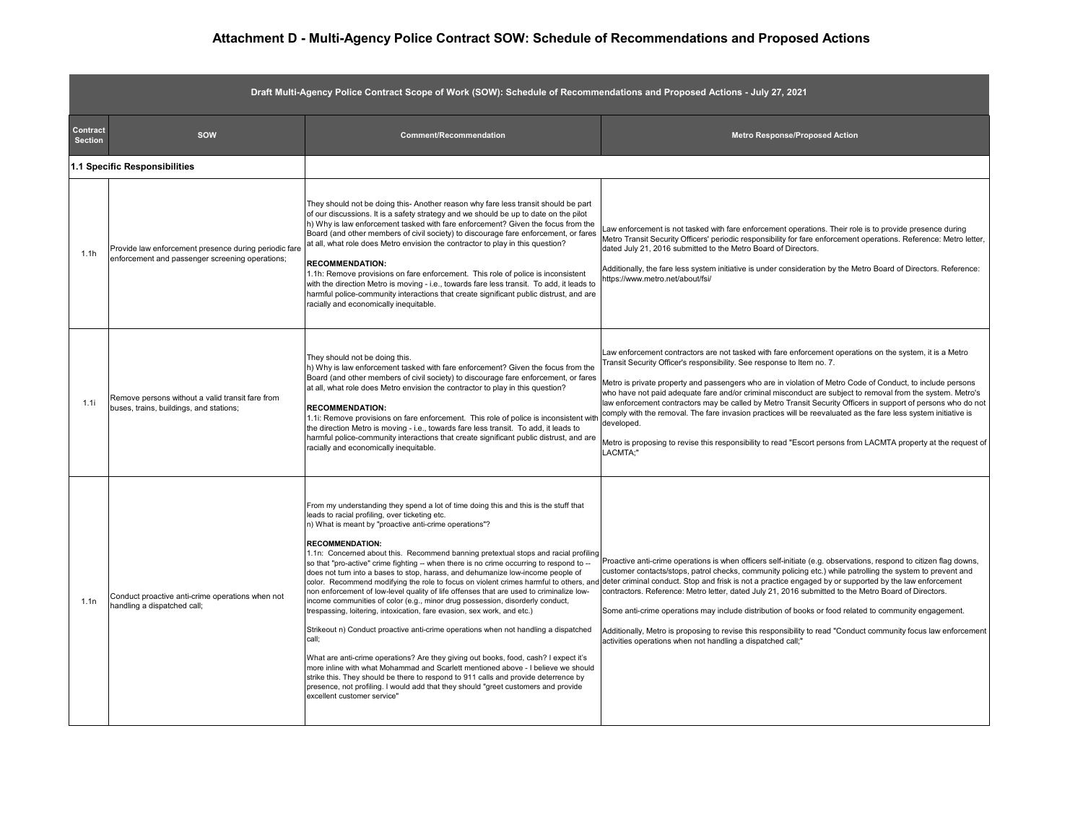## **Attachment D - Multi-Agency Police Contract SOW: Schedule of Recommendations and Proposed Actions**

| Draft Multi-Agency Police Contract Scope of Work (SOW): Schedule of Recommendations and Proposed Actions - July 27, 2021 |                                                                                                          |                                                                                                                                                                                                                                                                                                                                                                                                                                                                                                                                                                                                                                                                                                                                                                                                                                                                                                                                                                                                                                                                                                                                                                                                                                                                                                                                          |                                                                                                                                                                                                                                                                                                                                                                                                                                                                                                                                                                                                                                                                                                                                                                                               |  |  |  |
|--------------------------------------------------------------------------------------------------------------------------|----------------------------------------------------------------------------------------------------------|------------------------------------------------------------------------------------------------------------------------------------------------------------------------------------------------------------------------------------------------------------------------------------------------------------------------------------------------------------------------------------------------------------------------------------------------------------------------------------------------------------------------------------------------------------------------------------------------------------------------------------------------------------------------------------------------------------------------------------------------------------------------------------------------------------------------------------------------------------------------------------------------------------------------------------------------------------------------------------------------------------------------------------------------------------------------------------------------------------------------------------------------------------------------------------------------------------------------------------------------------------------------------------------------------------------------------------------|-----------------------------------------------------------------------------------------------------------------------------------------------------------------------------------------------------------------------------------------------------------------------------------------------------------------------------------------------------------------------------------------------------------------------------------------------------------------------------------------------------------------------------------------------------------------------------------------------------------------------------------------------------------------------------------------------------------------------------------------------------------------------------------------------|--|--|--|
| Contract<br><b>Section</b>                                                                                               | sow                                                                                                      | Comment/Recommendation                                                                                                                                                                                                                                                                                                                                                                                                                                                                                                                                                                                                                                                                                                                                                                                                                                                                                                                                                                                                                                                                                                                                                                                                                                                                                                                   | <b>Metro Response/Proposed Action</b>                                                                                                                                                                                                                                                                                                                                                                                                                                                                                                                                                                                                                                                                                                                                                         |  |  |  |
| 1.1 Specific Responsibilities                                                                                            |                                                                                                          |                                                                                                                                                                                                                                                                                                                                                                                                                                                                                                                                                                                                                                                                                                                                                                                                                                                                                                                                                                                                                                                                                                                                                                                                                                                                                                                                          |                                                                                                                                                                                                                                                                                                                                                                                                                                                                                                                                                                                                                                                                                                                                                                                               |  |  |  |
| 1.1h                                                                                                                     | Provide law enforcement presence during periodic fare<br>enforcement and passenger screening operations; | They should not be doing this- Another reason why fare less transit should be part<br>of our discussions. It is a safety strategy and we should be up to date on the pilot<br>h) Why is law enforcement tasked with fare enforcement? Given the focus from the<br>Board (and other members of civil society) to discourage fare enforcement, or fares<br>at all, what role does Metro envision the contractor to play in this question?<br><b>RECOMMENDATION:</b><br>1.1h: Remove provisions on fare enforcement. This role of police is inconsistent<br>with the direction Metro is moving - i.e., towards fare less transit. To add, it leads to<br>harmful police-community interactions that create significant public distrust, and are<br>racially and economically inequitable.                                                                                                                                                                                                                                                                                                                                                                                                                                                                                                                                                   | Law enforcement is not tasked with fare enforcement operations. Their role is to provide presence during<br>Metro Transit Security Officers' periodic responsibility for fare enforcement operations. Reference: Metro letter,<br>dated July 21, 2016 submitted to the Metro Board of Directors.<br>Additionally, the fare less system initiative is under consideration by the Metro Board of Directors. Reference:<br>https://www.metro.net/about/fsi/                                                                                                                                                                                                                                                                                                                                      |  |  |  |
| 1.1i                                                                                                                     | Remove persons without a valid transit fare from<br>buses, trains, buildings, and stations;              | They should not be doing this.<br>h) Why is law enforcement tasked with fare enforcement? Given the focus from the<br>Board (and other members of civil society) to discourage fare enforcement, or fares<br>at all, what role does Metro envision the contractor to play in this question?<br><b>RECOMMENDATION:</b><br>1.1i: Remove provisions on fare enforcement. This role of police is inconsistent wit<br>the direction Metro is moving - i.e., towards fare less transit. To add, it leads to<br>harmful police-community interactions that create significant public distrust, and are<br>racially and economically inequitable.                                                                                                                                                                                                                                                                                                                                                                                                                                                                                                                                                                                                                                                                                                | aw enforcement contractors are not tasked with fare enforcement operations on the system, it is a Metro<br>Transit Security Officer's responsibility. See response to Item no. 7.<br>Metro is private property and passengers who are in violation of Metro Code of Conduct, to include persons<br>who have not paid adequate fare and/or criminal misconduct are subject to removal from the system. Metro's<br>law enforcement contractors may be called by Metro Transit Security Officers in support of persons who do not<br>comply with the removal. The fare invasion practices will be reevaluated as the fare less system initiative is<br>developed.<br>Metro is proposing to revise this responsibility to read "Escort persons from LACMTA property at the request of<br>LACMTA:" |  |  |  |
| 1.1n                                                                                                                     | Conduct proactive anti-crime operations when not<br>handling a dispatched call;                          | From my understanding they spend a lot of time doing this and this is the stuff that<br>leads to racial profiling, over ticketing etc.<br>n) What is meant by "proactive anti-crime operations"?<br><b>RECOMMENDATION:</b><br>1.1n: Concerned about this. Recommend banning pretextual stops and racial profiling<br>so that "pro-active" crime fighting -- when there is no crime occurring to respond to --<br>does not turn into a bases to stop, harass, and dehumanize low-income people of<br>color. Recommend modifying the role to focus on violent crimes harmful to others, ar<br>non enforcement of low-level quality of life offenses that are used to criminalize low-<br>income communities of color (e.g., minor drug possession, disorderly conduct,<br>trespassing, loitering, intoxication, fare evasion, sex work, and etc.)<br>Strikeout n) Conduct proactive anti-crime operations when not handling a dispatched<br>call:<br>What are anti-crime operations? Are they giving out books, food, cash? I expect it's<br>more inline with what Mohammad and Scarlett mentioned above - I believe we should<br>strike this. They should be there to respond to 911 calls and provide deterrence by<br>presence, not profiling. I would add that they should "greet customers and provide<br>excellent customer service" | Proactive anti-crime operations is when officers self-initiate (e.g. observations, respond to citizen flag downs,<br>customer contacts/stops, patrol checks, community policing etc.) while patrolling the system to prevent and<br>deter criminal conduct. Stop and frisk is not a practice engaged by or supported by the law enforcement<br>contractors. Reference: Metro letter, dated July 21, 2016 submitted to the Metro Board of Directors.<br>Some anti-crime operations may include distribution of books or food related to community engagement.<br>Additionally, Metro is proposing to revise this responsibility to read "Conduct community focus law enforcement<br>activities operations when not handling a dispatched call;"                                                |  |  |  |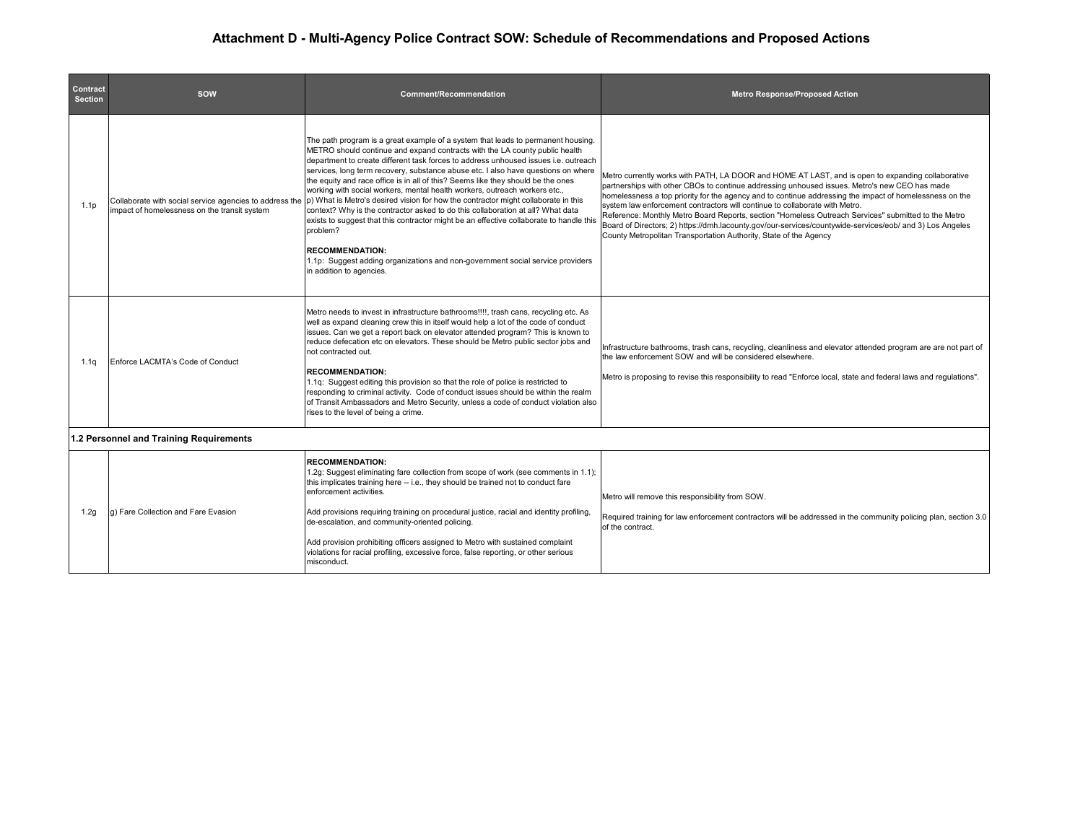## **Attachment D - Multi-Agency Police Contract SOW: Schedule of Recommendations and Proposed Actions**

| Contract<br><b>Section</b>              | <b>SOW</b>                                   | <b>Comment/Recommendation</b>                                                                                                                                                                                                                                                                                                                                                                                                                                                                                                                                                                                                                                                                                                                                                                                                                                                                                                                                                                 | <b>Metro Response/Proposed Action</b>                                                                                                                                                                                                                                                                                                                                                                                                                                                                                                                                                                                                                                                |  |  |  |
|-----------------------------------------|----------------------------------------------|-----------------------------------------------------------------------------------------------------------------------------------------------------------------------------------------------------------------------------------------------------------------------------------------------------------------------------------------------------------------------------------------------------------------------------------------------------------------------------------------------------------------------------------------------------------------------------------------------------------------------------------------------------------------------------------------------------------------------------------------------------------------------------------------------------------------------------------------------------------------------------------------------------------------------------------------------------------------------------------------------|--------------------------------------------------------------------------------------------------------------------------------------------------------------------------------------------------------------------------------------------------------------------------------------------------------------------------------------------------------------------------------------------------------------------------------------------------------------------------------------------------------------------------------------------------------------------------------------------------------------------------------------------------------------------------------------|--|--|--|
| 1.1 <sub>p</sub>                        | impact of homelessness on the transit system | The path program is a great example of a system that leads to permanent housing.<br>METRO should continue and expand contracts with the LA county public health<br>department to create different task forces to address unhoused issues i.e. outreach<br>services, long term recovery, substance abuse etc. I also have questions on where<br>the equity and race office is in all of this? Seems like they should be the ones<br>working with social workers, mental health workers, outreach workers etc.,<br>Collaborate with social service agencies to address the p) What is Metro's desired vision for how the contractor might collaborate in this<br>context? Why is the contractor asked to do this collaboration at all? What data<br>exists to suggest that this contractor might be an effective collaborate to handle this<br>problem?<br><b>RECOMMENDATION:</b><br>1.1p: Suggest adding organizations and non-government social service providers<br>in addition to agencies. | Metro currently works with PATH, LA DOOR and HOME AT LAST, and is open to expanding collaborative<br>partnerships with other CBOs to continue addressing unhoused issues. Metro's new CEO has made<br>homelessness a top priority for the agency and to continue addressing the impact of homelessness on the<br>system law enforcement contractors will continue to collaborate with Metro.<br>Reference: Monthly Metro Board Reports, section "Homeless Outreach Services" submitted to the Metro<br>Board of Directors; 2) https://dmh.lacounty.gov/our-services/countywide-services/eob/ and 3) Los Angeles<br>County Metropolitan Transportation Authority, State of the Agency |  |  |  |
| 1.1q                                    | Enforce LACMTA's Code of Conduct             | Metro needs to invest in infrastructure bathrooms!!!!, trash cans, recycling etc. As<br>well as expand cleaning crew this in itself would help a lot of the code of conduct<br>issues. Can we get a report back on elevator attended program? This is known to<br>reduce defecation etc on elevators. These should be Metro public sector jobs and<br>not contracted out.<br><b>RECOMMENDATION:</b><br>1.1q: Suggest editing this provision so that the role of police is restricted to<br>responding to criminal activity. Code of conduct issues should be within the realm<br>of Transit Ambassadors and Metro Security, unless a code of conduct violation also<br>rises to the level of being a crime.                                                                                                                                                                                                                                                                                   | Infrastructure bathrooms, trash cans, recycling, cleanliness and elevator attended program are are not part of<br>the law enforcement SOW and will be considered elsewhere.<br>Metro is proposing to revise this responsibility to read "Enforce local, state and federal laws and regulations".                                                                                                                                                                                                                                                                                                                                                                                     |  |  |  |
| 1.2 Personnel and Training Requirements |                                              |                                                                                                                                                                                                                                                                                                                                                                                                                                                                                                                                                                                                                                                                                                                                                                                                                                                                                                                                                                                               |                                                                                                                                                                                                                                                                                                                                                                                                                                                                                                                                                                                                                                                                                      |  |  |  |
| 1.2q                                    | g) Fare Collection and Fare Evasion          | <b>RECOMMENDATION:</b><br>1.2g: Suggest eliminating fare collection from scope of work (see comments in 1.1);<br>this implicates training here -- i.e., they should be trained not to conduct fare<br>enforcement activities.<br>Add provisions requiring training on procedural justice, racial and identity profiling,<br>de-escalation, and community-oriented policing.<br>Add provision prohibiting officers assigned to Metro with sustained complaint<br>violations for racial profiling, excessive force, false reporting, or other serious                                                                                                                                                                                                                                                                                                                                                                                                                                           | Metro will remove this responsibility from SOW.<br>Required training for law enforcement contractors will be addressed in the community policing plan, section 3.0<br>of the contract.                                                                                                                                                                                                                                                                                                                                                                                                                                                                                               |  |  |  |

misconduct.